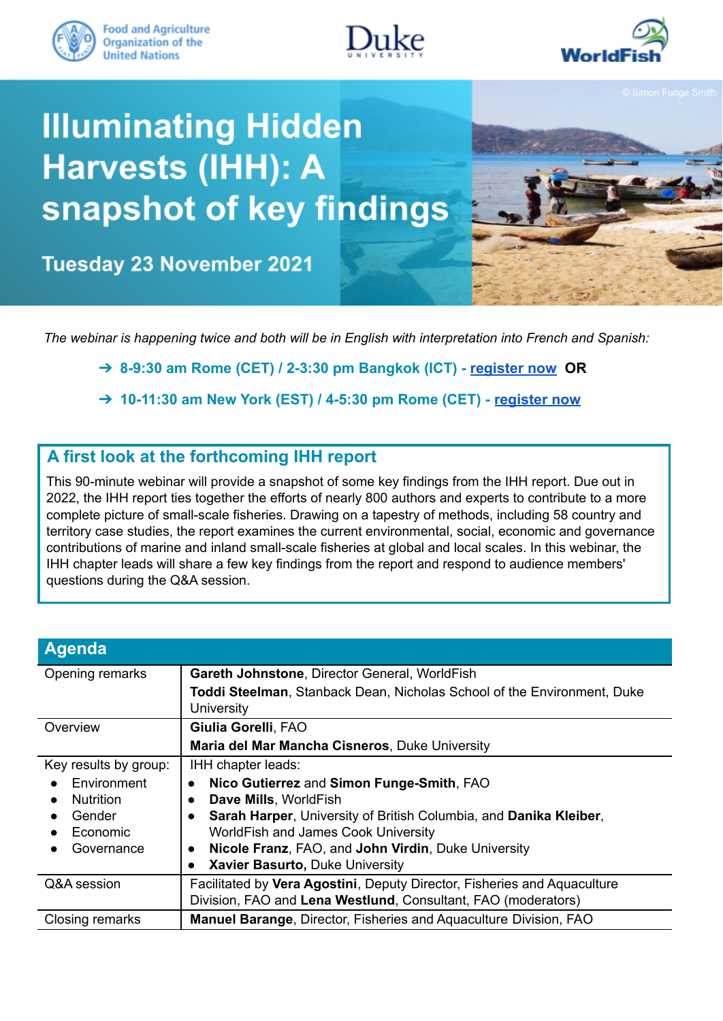





# **Illuminating Hidden** Harvests (IHH): A snapshot of key findings



**Tuesday 23 November 2021** 

*The webinar is happening twice and both will be in English with interpretation into French and Spanish:*

➔ **8-9:30 am Rome (CET) / 2-3:30 pm Bangkok (ICT) - [register](https://fao.zoom.us/webinar/register/WN_g-GdjeAHSMyyNUYycmIiEw) now OR**

➔ **10-11:30 am New York (EST) / 4-5:30 pm Rome (CET) - [register now](https://fao.zoom.us/webinar/register/WN_oa8oiE9SSmyRA98FCbeKuQ)**

### **A first look at the forthcoming IHH report**

This 90-minute webinar will provide a snapshot of some key findings from the IHH report. Due out in 2022, the IHH report ties together the efforts of nearly 800 authors and experts to contribute to a more complete picture of small-scale fisheries. Drawing on a tapestry of methods, including 58 country and territory case studies, the report examines the current environmental, social, economic and governance contributions of marine and inland small-scale fisheries at global and local scales. In this webinar, the IHH chapter leads will share a few key findings from the report and respond to audience members' questions during the Q&A session.

| <b>Agenda</b>         |                                                                                              |
|-----------------------|----------------------------------------------------------------------------------------------|
| Opening remarks       | Gareth Johnstone, Director General, WorldFish                                                |
|                       | <b>Toddi Steelman, Stanback Dean, Nicholas School of the Environment, Duke</b><br>University |
| Overview              | Giulia Gorelli, FAO                                                                          |
|                       | Maria del Mar Mancha Cisneros, Duke University                                               |
| Key results by group: | IHH chapter leads:                                                                           |
| Environment           | Nico Gutierrez and Simon Funge-Smith, FAO<br>$\bullet$                                       |
| <b>Nutrition</b>      | Dave Mills, WorldFish<br>$\bullet$                                                           |
| Gender                | Sarah Harper, University of British Columbia, and Danika Kleiber,<br>$\bullet$               |
| Economic              | WorldFish and James Cook University                                                          |
| Governance            | Nicole Franz, FAO, and John Virdin, Duke University<br>$\bullet$                             |
|                       | Xavier Basurto, Duke University<br>$\bullet$                                                 |
| Q&A session           | Facilitated by Vera Agostini, Deputy Director, Fisheries and Aquaculture                     |
|                       | Division, FAO and Lena Westlund, Consultant, FAO (moderators)                                |
| Closing remarks       | Manuel Barange, Director, Fisheries and Aquaculture Division, FAO                            |